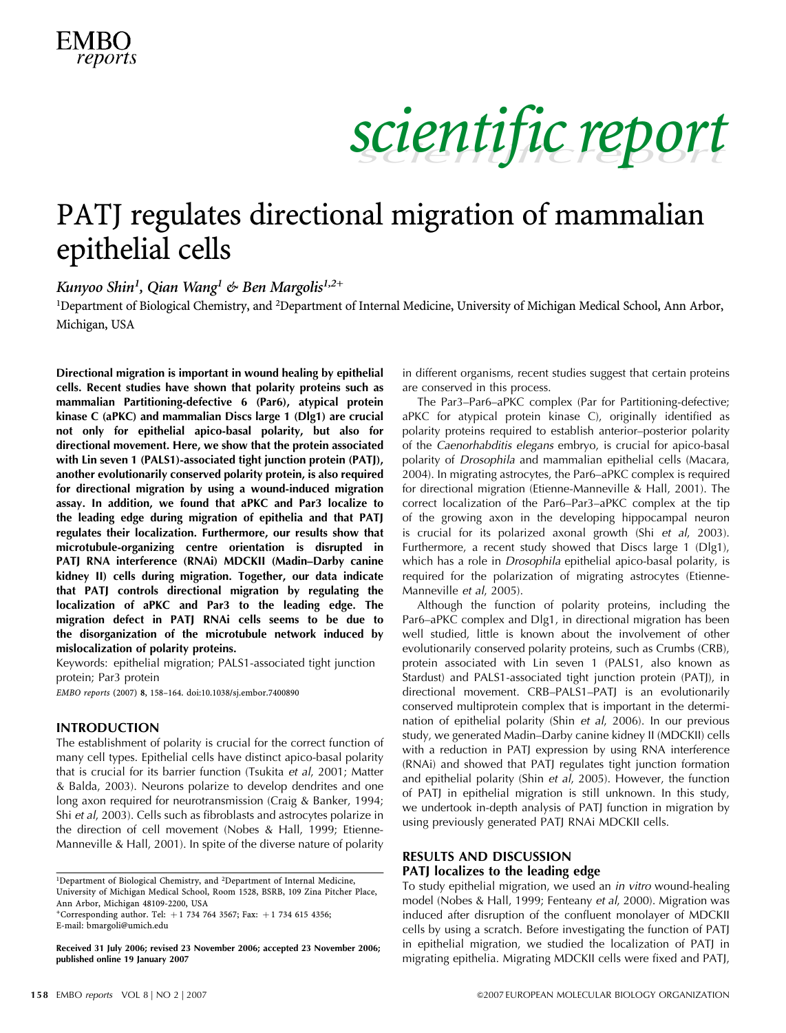### PATJ regulates directional migration of mammalian epithelial cells

Kunyoo Shin<sup>1</sup>, Qian Wang<sup>1</sup> & Ben Margolis<sup>1,2+</sup>

<sup>1</sup>Department of Biological Chemistry, and <sup>2</sup>Department of Internal Medicine, University of Michigan Medical School, Ann Arbor, Michigan, USA

Directional migration is important in wound healing by epithelial cells. Recent studies have shown that polarity proteins such as mammalian Partitioning-defective 6 (Par6), atypical protein kinase C (aPKC) and mammalian Discs large 1 (Dlg1) are crucial not only for epithelial apico-basal polarity, but also for directional movement. Here, we show that the protein associated with Lin seven 1 (PALS1)-associated tight junction protein (PATJ), another evolutionarily conserved polarity protein, is also required for directional migration by using a wound-induced migration assay. In addition, we found that aPKC and Par3 localize to the leading edge during migration of epithelia and that PATJ regulates their localization. Furthermore, our results show that microtubule-organizing centre orientation is disrupted in PATJ RNA interference (RNAi) MDCKII (Madin–Darby canine kidney II) cells during migration. Together, our data indicate that PATJ controls directional migration by regulating the localization of aPKC and Par3 to the leading edge. The migration defect in PATJ RNAi cells seems to be due to the disorganization of the microtubule network induced by mislocalization of polarity proteins.

Keywords: epithelial migration; PALS1-associated tight junction protein; Par3 protein

EMBO reports (2007) 8, 158–164. doi:10.1038/sj.embor.7400890

#### INTRODUCTION

The establishment of polarity is crucial for the correct function of many cell types. Epithelial cells have distinct apico-basal polarity that is crucial for its barrier function (Tsukita et al, 2001; Matter & Balda, 2003). Neurons polarize to develop dendrites and one long axon required for neurotransmission (Craig & Banker, 1994; Shi et al, 2003). Cells such as fibroblasts and astrocytes polarize in the direction of cell movement (Nobes & Hall, 1999; Etienne-Manneville & Hall, 2001). In spite of the diverse nature of polarity

+Corresponding author. Tel:  $+1$  734 764 3567; Fax:  $+1$  734 615 4356; E-mail: bmargoli@umich.edu <sup>1</sup>Department of Biological Chemistry, and <sup>2</sup>Department of Internal Medicine, University of Michigan Medical School, Room 1528, BSRB, 109 Zina Pitcher Place, Ann Arbor, Michigan 48109-2200, USA

Received 31 July 2006; revised 23 November 2006; accepted 23 November 2006; published online 19 January 2007

in different organisms, recent studies suggest that certain proteins are conserved in this process.

The Par3–Par6–aPKC complex (Par for Partitioning-defective; aPKC for atypical protein kinase C), originally identified as polarity proteins required to establish anterior–posterior polarity of the Caenorhabditis elegans embryo, is crucial for apico-basal polarity of Drosophila and mammalian epithelial cells (Macara, 2004). In migrating astrocytes, the Par6–aPKC complex is required for directional migration (Etienne-Manneville & Hall, 2001). The correct localization of the Par6–Par3–aPKC complex at the tip of the growing axon in the developing hippocampal neuron is crucial for its polarized axonal growth (Shi et al, 2003). Furthermore, a recent study showed that Discs large 1 (Dlg1), which has a role in *Drosophila* epithelial apico-basal polarity, is required for the polarization of migrating astrocytes (Etienne-Manneville et al, 2005).

Although the function of polarity proteins, including the Par6–aPKC complex and Dlg1, in directional migration has been well studied, little is known about the involvement of other evolutionarily conserved polarity proteins, such as Crumbs (CRB), protein associated with Lin seven 1 (PALS1, also known as Stardust) and PALS1-associated tight junction protein (PATJ), in directional movement. CRB–PALS1–PATJ is an evolutionarily conserved multiprotein complex that is important in the determination of epithelial polarity (Shin et al, 2006). In our previous study, we generated Madin–Darby canine kidney II (MDCKII) cells with a reduction in PATJ expression by using RNA interference (RNAi) and showed that PATJ regulates tight junction formation and epithelial polarity (Shin et al, 2005). However, the function of PATJ in epithelial migration is still unknown. In this study, we undertook in-depth analysis of PATJ function in migration by using previously generated PATJ RNAi MDCKII cells.

### RESULTS AND DISCUSSION

### PATJ localizes to the leading edge

To study epithelial migration, we used an in vitro wound-healing model (Nobes & Hall, 1999; Fenteany et al, 2000). Migration was induced after disruption of the confluent monolayer of MDCKII cells by using a scratch. Before investigating the function of PATJ in epithelial migration, we studied the localization of PATJ in migrating epithelia. Migrating MDCKII cells were fixed and PATJ,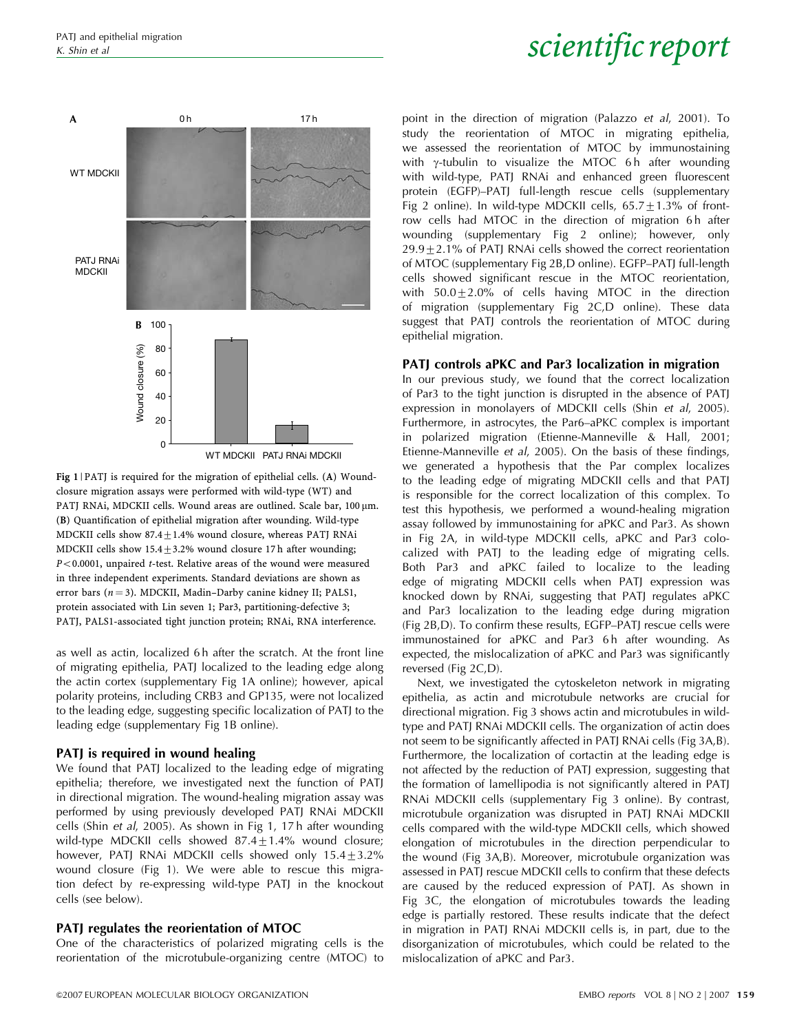

Fig 1 | PATJ is required for the migration of epithelial cells. (A) Woundclosure migration assays were performed with wild-type (WT) and PATJ RNAi, MDCKII cells. Wound areas are outlined. Scale bar, 100 µm. (B) Quantification of epithelial migration after wounding. Wild-type MDCKII cells show  $87.4 + 1.4\%$  wound closure, whereas PATJ RNAi MDCKII cells show  $15.4 \pm 3.2$ % wound closure 17 h after wounding;  $P<0.0001$ , unpaired t-test. Relative areas of the wound were measured in three independent experiments. Standard deviations are shown as error bars  $(n = 3)$ . MDCKII, Madin–Darby canine kidney II; PALS1, protein associated with Lin seven 1; Par3, partitioning-defective 3; PATJ, PALS1-associated tight junction protein; RNAi, RNA interference.

as well as actin, localized 6 h after the scratch. At the front line of migrating epithelia, PATJ localized to the leading edge along the actin cortex (supplementary Fig 1A online); however, apical polarity proteins, including CRB3 and GP135, were not localized to the leading edge, suggesting specific localization of PATJ to the leading edge (supplementary Fig 1B online).

### PATI is required in wound healing

We found that PATJ localized to the leading edge of migrating epithelia; therefore, we investigated next the function of PATJ in directional migration. The wound-healing migration assay was performed by using previously developed PATJ RNAi MDCKII cells (Shin et al, 2005). As shown in Fig 1, 17 h after wounding wild-type MDCKII cells showed  $87.4 \pm 1.4\%$  wound closure; however, PATJ RNAi MDCKII cells showed only  $15.4\pm3.2\%$ wound closure (Fig 1). We were able to rescue this migration defect by re-expressing wild-type PATJ in the knockout cells (see below).

### PATJ regulates the reorientation of MTOC

One of the characteristics of polarized migrating cells is the reorientation of the microtubule-organizing centre (MTOC) to point in the direction of migration (Palazzo et al, 2001). To study the reorientation of MTOC in migrating epithelia, we assessed the reorientation of MTOC by immunostaining with  $\gamma$ -tubulin to visualize the MTOC 6 h after wounding with wild-type, PATJ RNAi and enhanced green fluorescent protein (EGFP)–PATJ full-length rescue cells (supplementary Fig 2 online). In wild-type MDCKII cells,  $65.7 \pm 1.3\%$  of frontrow cells had MTOC in the direction of migration 6h after wounding (supplementary Fig 2 online); however, only  $29.9 \pm 2.1$ % of PATJ RNAi cells showed the correct reorientation of MTOC (supplementary Fig 2B,D online). EGFP–PATJ full-length cells showed significant rescue in the MTOC reorientation, with  $50.0+2.0\%$  of cells having MTOC in the direction of migration (supplementary Fig 2C,D online). These data suggest that PATJ controls the reorientation of MTOC during epithelial migration.

### PATJ controls aPKC and Par3 localization in migration

In our previous study, we found that the correct localization of Par3 to the tight junction is disrupted in the absence of PATJ expression in monolayers of MDCKII cells (Shin et al, 2005). Furthermore, in astrocytes, the Par6–aPKC complex is important in polarized migration (Etienne-Manneville & Hall, 2001; Etienne-Manneville et al, 2005). On the basis of these findings, we generated a hypothesis that the Par complex localizes to the leading edge of migrating MDCKII cells and that PATJ is responsible for the correct localization of this complex. To test this hypothesis, we performed a wound-healing migration assay followed by immunostaining for aPKC and Par3. As shown in Fig 2A, in wild-type MDCKII cells, aPKC and Par3 colocalized with PATJ to the leading edge of migrating cells. Both Par3 and aPKC failed to localize to the leading edge of migrating MDCKII cells when PATJ expression was knocked down by RNAi, suggesting that PATJ regulates aPKC and Par3 localization to the leading edge during migration (Fig 2B,D). To confirm these results, EGFP–PATJ rescue cells were immunostained for aPKC and Par3 6h after wounding. As expected, the mislocalization of aPKC and Par3 was significantly reversed (Fig 2C,D).

Next, we investigated the cytoskeleton network in migrating epithelia, as actin and microtubule networks are crucial for directional migration. Fig 3 shows actin and microtubules in wildtype and PATJ RNAi MDCKII cells. The organization of actin does not seem to be significantly affected in PATJ RNAi cells (Fig 3A,B). Furthermore, the localization of cortactin at the leading edge is not affected by the reduction of PATJ expression, suggesting that the formation of lamellipodia is not significantly altered in PATJ RNAi MDCKII cells (supplementary Fig 3 online). By contrast, microtubule organization was disrupted in PATJ RNAi MDCKII cells compared with the wild-type MDCKII cells, which showed elongation of microtubules in the direction perpendicular to the wound (Fig 3A,B). Moreover, microtubule organization was assessed in PATJ rescue MDCKII cells to confirm that these defects are caused by the reduced expression of PATJ. As shown in Fig 3C, the elongation of microtubules towards the leading edge is partially restored. These results indicate that the defect in migration in PATJ RNAi MDCKII cells is, in part, due to the disorganization of microtubules, which could be related to the mislocalization of aPKC and Par3.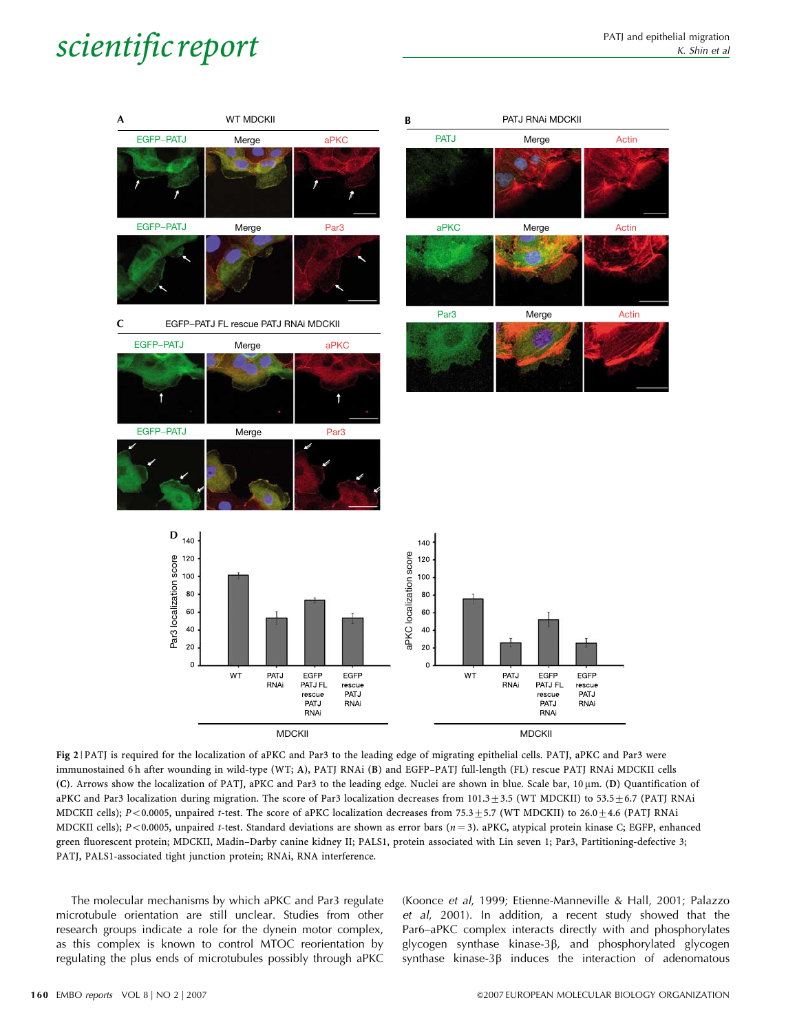

Fig 2 | PATJ is required for the localization of aPKC and Par3 to the leading edge of migrating epithelial cells. PATJ, aPKC and Par3 were immunostained 6 h after wounding in wild-type (WT; A), PATJ RNAi (B) and EGFP–PATJ full-length (FL) rescue PATJ RNAi MDCKII cells (C). Arrows show the localization of PATJ, aPKC and Par3 to the leading edge. Nuclei are shown in blue. Scale bar, 10 mm. (D) Quantification of aPKC and Par3 localization during migration. The score of Par3 localization decreases from  $101.3\pm3.5$  (WT MDCKII) to 53.5 $\pm$ 6.7 (PATJ RNAi MDCKII cells); P<0.0005, unpaired t-test. The score of aPKC localization decreases from 75.3  $\pm$  5.7 (WT MDCKII) to 26.0  $\pm$  4.6 (PATJ RNAi MDCKII cells);  $P < 0.0005$ , unpaired t-test. Standard deviations are shown as error bars ( $n = 3$ ). aPKC, atypical protein kinase C; EGFP, enhanced green fluorescent protein; MDCKII, Madin–Darby canine kidney II; PALS1, protein associated with Lin seven 1; Par3, Partitioning-defective 3; PATJ, PALS1-associated tight junction protein; RNAi, RNA interference.

The molecular mechanisms by which aPKC and Par3 regulate microtubule orientation are still unclear. Studies from other research groups indicate a role for the dynein motor complex, as this complex is known to control MTOC reorientation by regulating the plus ends of microtubules possibly through aPKC (Koonce et al, 1999; Etienne-Manneville & Hall, 2001; Palazzo et al, 2001). In addition, a recent study showed that the Par6–aPKC complex interacts directly with and phosphorylates glycogen synthase kinase-3b, and phosphorylated glycogen synthase kinase- $3\beta$  induces the interaction of adenomatous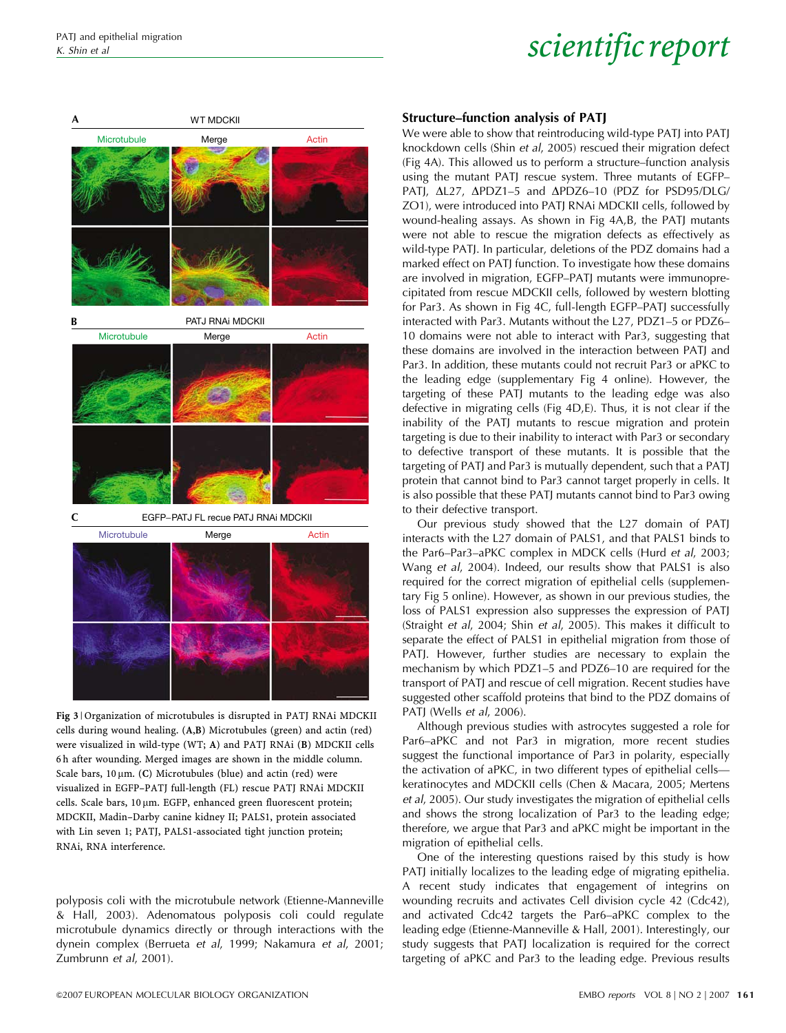

Fig 3 | Organization of microtubules is disrupted in PATJ RNAi MDCKII cells during wound healing. (A,B) Microtubules (green) and actin (red) were visualized in wild-type (WT; A) and PATJ RNAi (B) MDCKII cells 6 h after wounding. Merged images are shown in the middle column. Scale bars,  $10 \mu m$ . (C) Microtubules (blue) and actin (red) were visualized in EGFP–PATJ full-length (FL) rescue PATJ RNAi MDCKII cells. Scale bars, 10 µm. EGFP, enhanced green fluorescent protein; MDCKII, Madin–Darby canine kidney II; PALS1, protein associated with Lin seven 1; PATJ, PALS1-associated tight junction protein; RNAi, RNA interference.

polyposis coli with the microtubule network (Etienne-Manneville & Hall, 2003). Adenomatous polyposis coli could regulate microtubule dynamics directly or through interactions with the dynein complex (Berrueta et al, 1999; Nakamura et al, 2001; Zumbrunn et al, 2001).

#### Structure–function analysis of PATJ

We were able to show that reintroducing wild-type PATJ into PATJ knockdown cells (Shin et al, 2005) rescued their migration defect (Fig 4A). This allowed us to perform a structure–function analysis using the mutant PATJ rescue system. Three mutants of EGFP– PATJ,  $\Delta$ L27,  $\Delta$ PDZ1-5 and  $\Delta$ PDZ6-10 (PDZ for PSD95/DLG/ ZO1), were introduced into PATJ RNAi MDCKII cells, followed by wound-healing assays. As shown in Fig 4A,B, the PATJ mutants were not able to rescue the migration defects as effectively as wild-type PATJ. In particular, deletions of the PDZ domains had a marked effect on PATJ function. To investigate how these domains are involved in migration, EGFP–PATJ mutants were immunoprecipitated from rescue MDCKII cells, followed by western blotting for Par3. As shown in Fig 4C, full-length EGFP–PATJ successfully interacted with Par3. Mutants without the L27, PDZ1–5 or PDZ6– 10 domains were not able to interact with Par3, suggesting that these domains are involved in the interaction between PATJ and Par3. In addition, these mutants could not recruit Par3 or aPKC to the leading edge (supplementary Fig 4 online). However, the targeting of these PATJ mutants to the leading edge was also defective in migrating cells (Fig 4D,E). Thus, it is not clear if the inability of the PATJ mutants to rescue migration and protein targeting is due to their inability to interact with Par3 or secondary to defective transport of these mutants. It is possible that the targeting of PATJ and Par3 is mutually dependent, such that a PATJ protein that cannot bind to Par3 cannot target properly in cells. It is also possible that these PATJ mutants cannot bind to Par3 owing to their defective transport.

Our previous study showed that the L27 domain of PATJ interacts with the L27 domain of PALS1, and that PALS1 binds to the Par6–Par3–aPKC complex in MDCK cells (Hurd et al, 2003; Wang et al, 2004). Indeed, our results show that PALS1 is also required for the correct migration of epithelial cells (supplementary Fig 5 online). However, as shown in our previous studies, the loss of PALS1 expression also suppresses the expression of PATJ (Straight et al, 2004; Shin et al, 2005). This makes it difficult to separate the effect of PALS1 in epithelial migration from those of PATJ. However, further studies are necessary to explain the mechanism by which PDZ1–5 and PDZ6–10 are required for the transport of PATJ and rescue of cell migration. Recent studies have suggested other scaffold proteins that bind to the PDZ domains of PATJ (Wells et al, 2006).

Although previous studies with astrocytes suggested a role for Par6–aPKC and not Par3 in migration, more recent studies suggest the functional importance of Par3 in polarity, especially the activation of aPKC, in two different types of epithelial cells keratinocytes and MDCKII cells (Chen & Macara, 2005; Mertens et al, 2005). Our study investigates the migration of epithelial cells and shows the strong localization of Par3 to the leading edge; therefore, we argue that Par3 and aPKC might be important in the migration of epithelial cells.

One of the interesting questions raised by this study is how PATJ initially localizes to the leading edge of migrating epithelia. A recent study indicates that engagement of integrins on wounding recruits and activates Cell division cycle 42 (Cdc42), and activated Cdc42 targets the Par6–aPKC complex to the leading edge (Etienne-Manneville & Hall, 2001). Interestingly, our study suggests that PATJ localization is required for the correct targeting of aPKC and Par3 to the leading edge. Previous results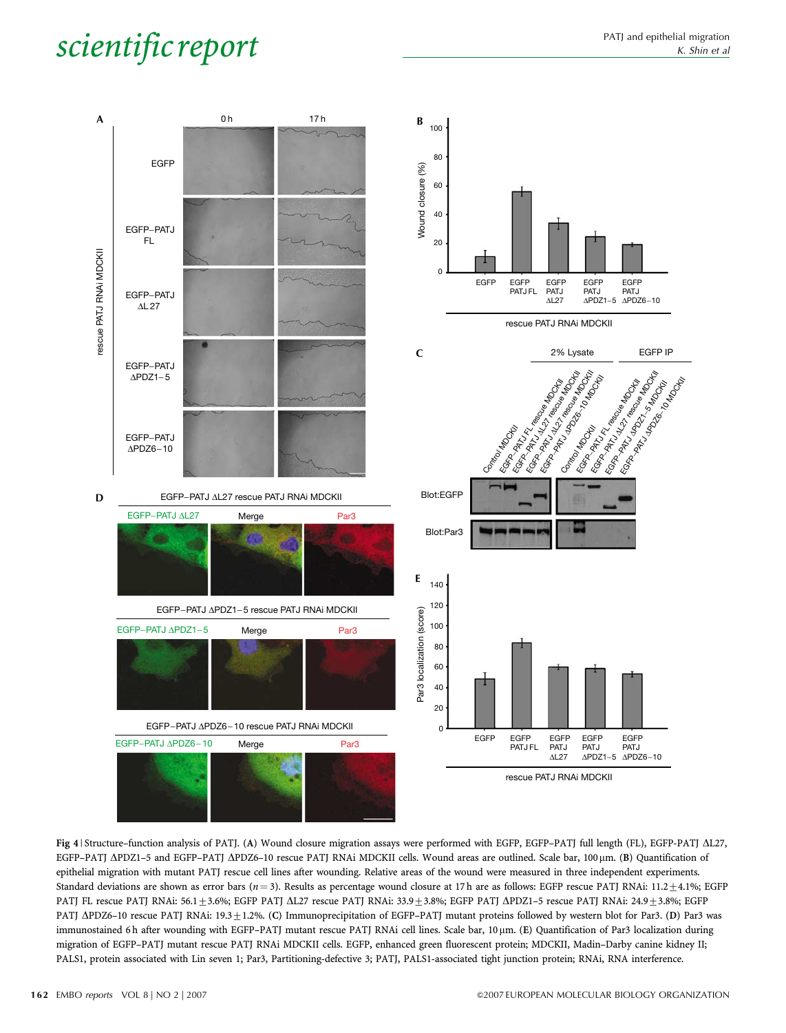

Fig 4 | Structure–function analysis of PATJ. (A) Wound closure migration assays were performed with EGFP, EGFP–PATJ full length (FL), EGFP-PATJ DL27, EGFP-PATJ  $\Delta$ PDZ1-5 and EGFP-PATJ  $\Delta$ PDZ6-10 rescue PATJ RNAi MDCKII cells. Wound areas are outlined. Scale bar, 100 µm. (B) Quantification of epithelial migration with mutant PATJ rescue cell lines after wounding. Relative areas of the wound were measured in three independent experiments. Standard deviations are shown as error bars ( $n=3$ ). Results as percentage wound closure at 17 h are as follows: EGFP rescue PATJ RNAi: 11.2 $\pm$ 4.1%; EGFP PATJ FL rescue PATJ RNAi: 56.1±3.6%; EGFP PATJ  $\Delta$ L27 rescue PATJ RNAi: 33.9±3.8%; EGFP PATJ  $\Delta$ PDZ1-5 rescue PATJ RNAi: 24.9±3.8%; EGFP PATJ  $\Delta$ PDZ6-10 rescue PATJ RNAi: 19.3 ± 1.2%. (C) Immunoprecipitation of EGFP-PATJ mutant proteins followed by western blot for Par3. (D) Par3 was immunostained 6h after wounding with EGFP-PATJ mutant rescue PATJ RNAi cell lines. Scale bar, 10 µm. (E) Quantification of Par3 localization during migration of EGFP–PATJ mutant rescue PATJ RNAi MDCKII cells. EGFP, enhanced green fluorescent protein; MDCKII, Madin–Darby canine kidney II; PALS1, protein associated with Lin seven 1; Par3, Partitioning-defective 3; PATJ, PALS1-associated tight junction protein; RNAi, RNA interference.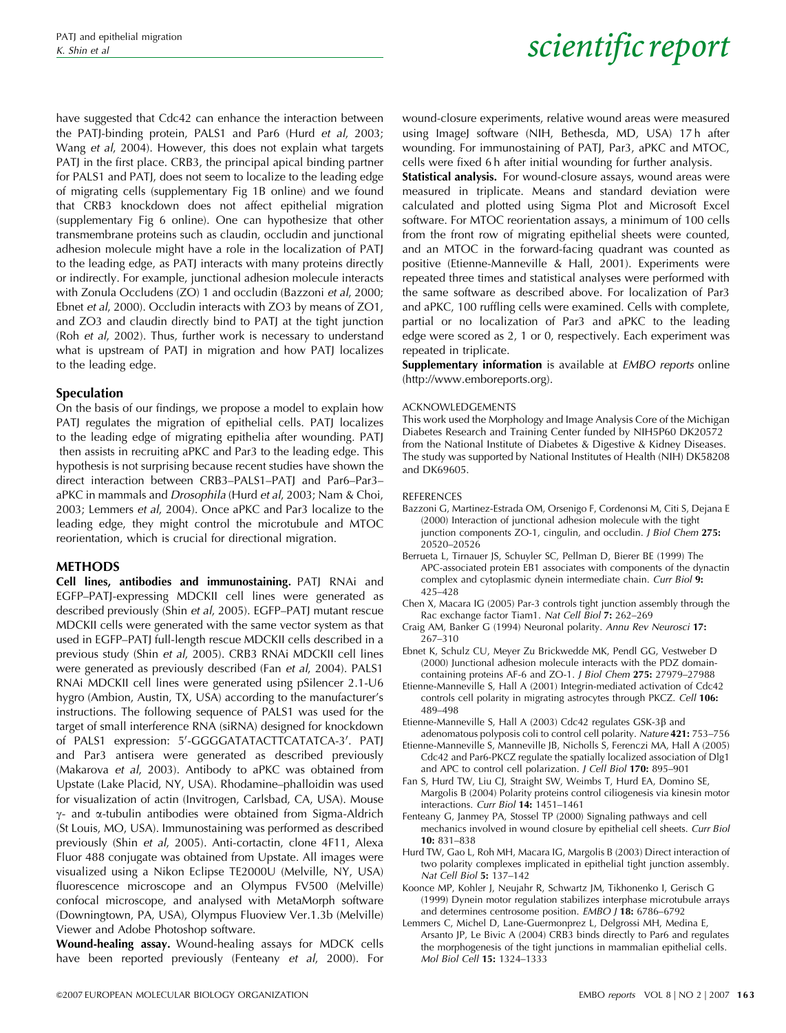have suggested that Cdc42 can enhance the interaction between the PATJ-binding protein, PALS1 and Par6 (Hurd et al, 2003; Wang et al, 2004). However, this does not explain what targets PATJ in the first place. CRB3, the principal apical binding partner for PALS1 and PATJ, does not seem to localize to the leading edge of migrating cells (supplementary Fig 1B online) and we found that CRB3 knockdown does not affect epithelial migration (supplementary Fig 6 online). One can hypothesize that other transmembrane proteins such as claudin, occludin and junctional adhesion molecule might have a role in the localization of PATJ to the leading edge, as PATJ interacts with many proteins directly or indirectly. For example, junctional adhesion molecule interacts with Zonula Occludens (ZO) 1 and occludin (Bazzoni et al, 2000; Ebnet et al, 2000). Occludin interacts with ZO3 by means of ZO1, and ZO3 and claudin directly bind to PATJ at the tight junction (Roh et al, 2002). Thus, further work is necessary to understand what is upstream of PATJ in migration and how PATJ localizes to the leading edge.

#### Speculation

On the basis of our findings, we propose a model to explain how PATJ regulates the migration of epithelial cells. PATJ localizes to the leading edge of migrating epithelia after wounding. PATJ then assists in recruiting aPKC and Par3 to the leading edge. This hypothesis is not surprising because recent studies have shown the direct interaction between CRB3–PALS1–PATJ and Par6–Par3– aPKC in mammals and Drosophila (Hurd et al, 2003; Nam & Choi, 2003; Lemmers et al, 2004). Once aPKC and Par3 localize to the leading edge, they might control the microtubule and MTOC reorientation, which is crucial for directional migration.

### METHODS

Cell lines, antibodies and immunostaining. PATJ RNAi and EGFP–PATJ-expressing MDCKII cell lines were generated as described previously (Shin et al, 2005). EGFP–PATJ mutant rescue MDCKII cells were generated with the same vector system as that used in EGFP–PATJ full-length rescue MDCKII cells described in a previous study (Shin et al, 2005). CRB3 RNAi MDCKII cell lines were generated as previously described (Fan et al, 2004). PALS1 RNAi MDCKII cell lines were generated using pSilencer 2.1-U6 hygro (Ambion, Austin, TX, USA) according to the manufacturer's instructions. The following sequence of PALS1 was used for the target of small interference RNA (siRNA) designed for knockdown of PALS1 expression: 5'-GGGGATATACTTCATATCA-3'. PATJ and Par3 antisera were generated as described previously (Makarova et al, 2003). Antibody to aPKC was obtained from Upstate (Lake Placid, NY, USA). Rhodamine–phalloidin was used for visualization of actin (Invitrogen, Carlsbad, CA, USA). Mouse  $\gamma$ - and  $\alpha$ -tubulin antibodies were obtained from Sigma-Aldrich (St Louis, MO, USA). Immunostaining was performed as described previously (Shin et al, 2005). Anti-cortactin, clone 4F11, Alexa Fluor 488 conjugate was obtained from Upstate. All images were visualized using a Nikon Eclipse TE2000U (Melville, NY, USA) fluorescence microscope and an Olympus FV500 (Melville) confocal microscope, and analysed with MetaMorph software (Downingtown, PA, USA), Olympus Fluoview Ver.1.3b (Melville) Viewer and Adobe Photoshop software.

Wound-healing assay. Wound-healing assays for MDCK cells have been reported previously (Fenteany et al, 2000). For wound-closure experiments, relative wound areas were measured using ImageJ software (NIH, Bethesda, MD, USA) 17h after wounding. For immunostaining of PATJ, Par3, aPKC and MTOC, cells were fixed 6 h after initial wounding for further analysis.

Statistical analysis. For wound-closure assays, wound areas were measured in triplicate. Means and standard deviation were calculated and plotted using Sigma Plot and Microsoft Excel software. For MTOC reorientation assays, a minimum of 100 cells from the front row of migrating epithelial sheets were counted, and an MTOC in the forward-facing quadrant was counted as positive (Etienne-Manneville & Hall, 2001). Experiments were repeated three times and statistical analyses were performed with the same software as described above. For localization of Par3 and aPKC, 100 ruffling cells were examined. Cells with complete, partial or no localization of Par3 and aPKC to the leading edge were scored as 2, 1 or 0, respectively. Each experiment was repeated in triplicate.

**Supplementary information** is available at *EMBO reports* online (http://www.emboreports.org).

#### ACKNOWLEDGEMENTS

This work used the Morphology and Image Analysis Core of the Michigan Diabetes Research and Training Center funded by NIH5P60 DK20572 from the National Institute of Diabetes & Digestive & Kidney Diseases. The study was supported by National Institutes of Health (NIH) DK58208 and DK69605.

#### **REFERENCES**

- Bazzoni G, Martinez-Estrada OM, Orsenigo F, Cordenonsi M, Citi S, Dejana E (2000) Interaction of junctional adhesion molecule with the tight junction components ZO-1, cingulin, and occludin. J Biol Chem 275: 20520–20526
- Berrueta L, Tirnauer JS, Schuyler SC, Pellman D, Bierer BE (1999) The APC-associated protein EB1 associates with components of the dynactin complex and cytoplasmic dynein intermediate chain. Curr Biol 9: 425–428
- Chen X, Macara IG (2005) Par-3 controls tight junction assembly through the Rac exchange factor Tiam1. Nat Cell Biol 7: 262–269
- Craig AM, Banker G (1994) Neuronal polarity. Annu Rev Neurosci 17: 267–310
- Ebnet K, Schulz CU, Meyer Zu Brickwedde MK, Pendl GG, Vestweber D (2000) Junctional adhesion molecule interacts with the PDZ domaincontaining proteins AF-6 and ZO-1. J Biol Chem 275: 27979–27988
- Etienne-Manneville S, Hall A (2001) Integrin-mediated activation of Cdc42 controls cell polarity in migrating astrocytes through PKCZ. Cell 106: 489–498
- Etienne-Manneville S, Hall A (2003) Cdc42 regulates  $GSK-3\beta$  and adenomatous polyposis coli to control cell polarity. Nature 421: 753–756
- Etienne-Manneville S, Manneville JB, Nicholls S, Ferenczi MA, Hall A (2005) Cdc42 and Par6-PKCZ regulate the spatially localized association of Dlg1 and APC to control cell polarization. J Cell Biol 170: 895-901
- Fan S, Hurd TW, Liu CJ, Straight SW, Weimbs T, Hurd EA, Domino SE, Margolis B (2004) Polarity proteins control ciliogenesis via kinesin motor interactions. Curr Biol 14: 1451–1461
- Fenteany G, Janmey PA, Stossel TP (2000) Signaling pathways and cell mechanics involved in wound closure by epithelial cell sheets. Curr Biol 10: 831–838
- Hurd TW, Gao L, Roh MH, Macara IG, Margolis B (2003) Direct interaction of two polarity complexes implicated in epithelial tight junction assembly. Nat Cell Biol 5: 137–142
- Koonce MP, Kohler J, Neujahr R, Schwartz JM, Tikhonenko I, Gerisch G (1999) Dynein motor regulation stabilizes interphase microtubule arrays and determines centrosome position. EMBO J 18: 6786-6792
- Lemmers C, Michel D, Lane-Guermonprez L, Delgrossi MH, Medina E, Arsanto JP, Le Bivic A (2004) CRB3 binds directly to Par6 and regulates the morphogenesis of the tight junctions in mammalian epithelial cells. Mol Biol Cell 15: 1324–1333